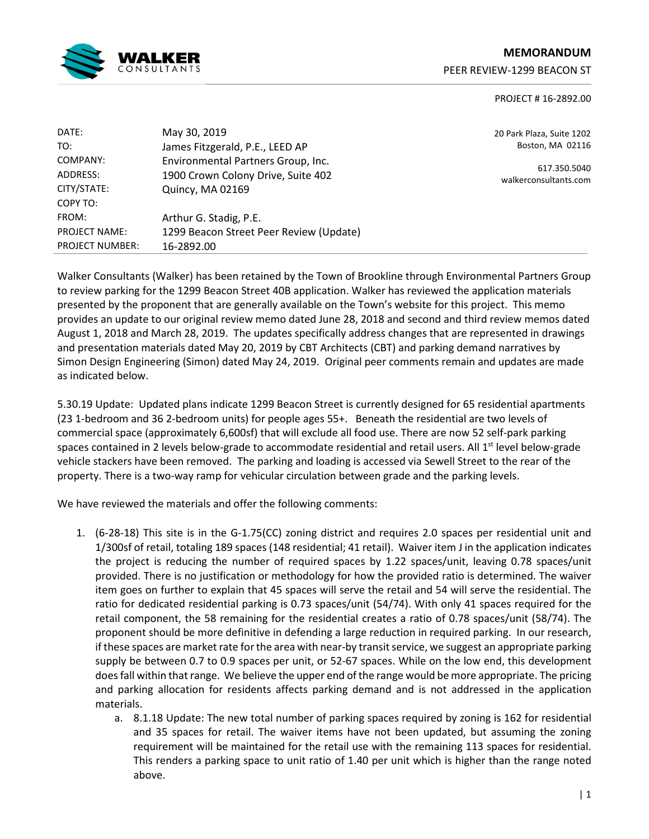

# **MEMORANDUM**  PEER REVIEW-1299 BEACON ST

# PROJECT # 16-2892.00

| DATE:                  | May 30, 2019                            |
|------------------------|-----------------------------------------|
| TO:                    | James Fitzgerald, P.E., LEED AP         |
| COMPANY:               | Environmental Partners Group, Inc.      |
| ADDRESS:               | 1900 Crown Colony Drive, Suite 402      |
| CITY/STATE:            | Quincy, MA 02169                        |
| COPY TO:               |                                         |
| FROM:                  | Arthur G. Stadig, P.E.                  |
| <b>PROJECT NAME:</b>   | 1299 Beacon Street Peer Review (Update) |
| <b>PROJECT NUMBER:</b> | 16-2892.00                              |

20 Park Plaza, Suite 1202 Boston, MA 02116

617.350.5040 walkerconsultants.com

Walker Consultants (Walker) has been retained by the Town of Brookline through Environmental Partners Group to review parking for the 1299 Beacon Street 40B application. Walker has reviewed the application materials presented by the proponent that are generally available on the Town's website for this project. This memo provides an update to our original review memo dated June 28, 2018 and second and third review memos dated August 1, 2018 and March 28, 2019. The updates specifically address changes that are represented in drawings and presentation materials dated May 20, 2019 by CBT Architects (CBT) and parking demand narratives by Simon Design Engineering (Simon) dated May 24, 2019. Original peer comments remain and updates are made as indicated below.

5.30.19 Update: Updated plans indicate 1299 Beacon Street is currently designed for 65 residential apartments (23 1-bedroom and 36 2-bedroom units) for people ages 55+. Beneath the residential are two levels of commercial space (approximately 6,600sf) that will exclude all food use. There are now 52 self-park parking spaces contained in 2 levels below-grade to accommodate residential and retail users. All  $1<sup>st</sup>$  level below-grade vehicle stackers have been removed. The parking and loading is accessed via Sewell Street to the rear of the property. There is a two-way ramp for vehicular circulation between grade and the parking levels.

We have reviewed the materials and offer the following comments:

- 1. (6-28-18) This site is in the G-1.75(CC) zoning district and requires 2.0 spaces per residential unit and 1/300sf of retail, totaling 189 spaces (148 residential; 41 retail). Waiver item J in the application indicates the project is reducing the number of required spaces by 1.22 spaces/unit, leaving 0.78 spaces/unit provided. There is no justification or methodology for how the provided ratio is determined. The waiver item goes on further to explain that 45 spaces will serve the retail and 54 will serve the residential. The ratio for dedicated residential parking is 0.73 spaces/unit (54/74). With only 41 spaces required for the retail component, the 58 remaining for the residential creates a ratio of 0.78 spaces/unit (58/74). The proponent should be more definitive in defending a large reduction in required parking. In our research, if these spaces are market rate for the area with near-by transit service, we suggest an appropriate parking supply be between 0.7 to 0.9 spaces per unit, or 52-67 spaces. While on the low end, this development does fall within that range. We believe the upper end of the range would be more appropriate. The pricing and parking allocation for residents affects parking demand and is not addressed in the application materials.
	- a. 8.1.18 Update: The new total number of parking spaces required by zoning is 162 for residential and 35 spaces for retail. The waiver items have not been updated, but assuming the zoning requirement will be maintained for the retail use with the remaining 113 spaces for residential. This renders a parking space to unit ratio of 1.40 per unit which is higher than the range noted above.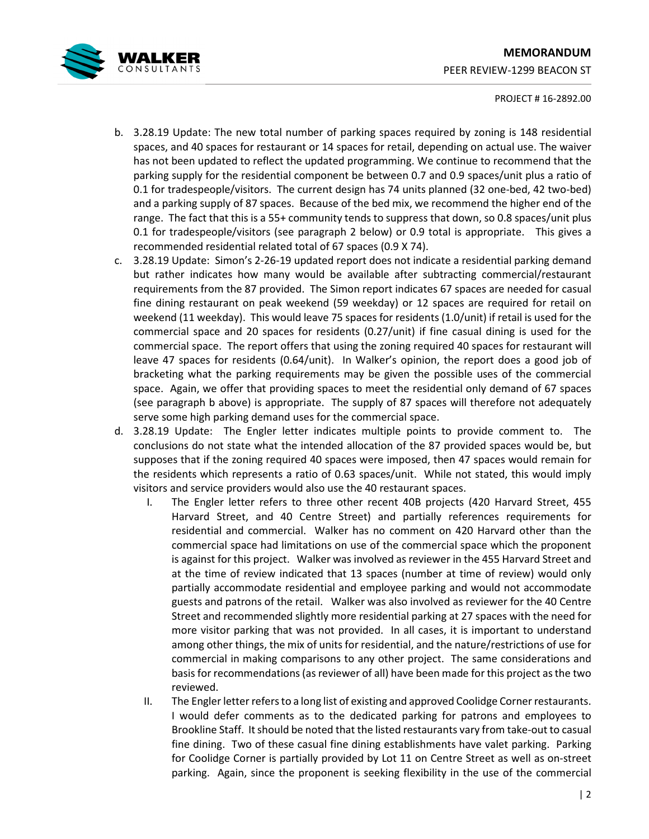

# PROJECT # 16-2892.00

- b. 3.28.19 Update: The new total number of parking spaces required by zoning is 148 residential spaces, and 40 spaces for restaurant or 14 spaces for retail, depending on actual use. The waiver has not been updated to reflect the updated programming. We continue to recommend that the parking supply for the residential component be between 0.7 and 0.9 spaces/unit plus a ratio of 0.1 for tradespeople/visitors. The current design has 74 units planned (32 one-bed, 42 two-bed) and a parking supply of 87 spaces. Because of the bed mix, we recommend the higher end of the range. The fact that this is a 55+ community tends to suppress that down, so 0.8 spaces/unit plus 0.1 for tradespeople/visitors (see paragraph 2 below) or 0.9 total is appropriate. This gives a recommended residential related total of 67 spaces (0.9 X 74).
- c. 3.28.19 Update: Simon's 2-26-19 updated report does not indicate a residential parking demand but rather indicates how many would be available after subtracting commercial/restaurant requirements from the 87 provided. The Simon report indicates 67 spaces are needed for casual fine dining restaurant on peak weekend (59 weekday) or 12 spaces are required for retail on weekend (11 weekday). This would leave 75 spaces for residents (1.0/unit) if retail is used for the commercial space and 20 spaces for residents (0.27/unit) if fine casual dining is used for the commercial space. The report offers that using the zoning required 40 spaces for restaurant will leave 47 spaces for residents (0.64/unit). In Walker's opinion, the report does a good job of bracketing what the parking requirements may be given the possible uses of the commercial space. Again, we offer that providing spaces to meet the residential only demand of 67 spaces (see paragraph b above) is appropriate. The supply of 87 spaces will therefore not adequately serve some high parking demand uses for the commercial space.
- d. 3.28.19 Update: The Engler letter indicates multiple points to provide comment to. The conclusions do not state what the intended allocation of the 87 provided spaces would be, but supposes that if the zoning required 40 spaces were imposed, then 47 spaces would remain for the residents which represents a ratio of 0.63 spaces/unit. While not stated, this would imply visitors and service providers would also use the 40 restaurant spaces.
	- I. The Engler letter refers to three other recent 40B projects (420 Harvard Street, 455 Harvard Street, and 40 Centre Street) and partially references requirements for residential and commercial. Walker has no comment on 420 Harvard other than the commercial space had limitations on use of the commercial space which the proponent is against for this project. Walker was involved as reviewer in the 455 Harvard Street and at the time of review indicated that 13 spaces (number at time of review) would only partially accommodate residential and employee parking and would not accommodate guests and patrons of the retail. Walker was also involved as reviewer for the 40 Centre Street and recommended slightly more residential parking at 27 spaces with the need for more visitor parking that was not provided. In all cases, it is important to understand among other things, the mix of units for residential, and the nature/restrictions of use for commercial in making comparisons to any other project. The same considerations and basis for recommendations (as reviewer of all) have been made for this project as the two reviewed.
	- II. The Engler letter refers to a long list of existing and approved Coolidge Corner restaurants. I would defer comments as to the dedicated parking for patrons and employees to Brookline Staff. It should be noted that the listed restaurants vary from take-out to casual fine dining. Two of these casual fine dining establishments have valet parking. Parking for Coolidge Corner is partially provided by Lot 11 on Centre Street as well as on-street parking. Again, since the proponent is seeking flexibility in the use of the commercial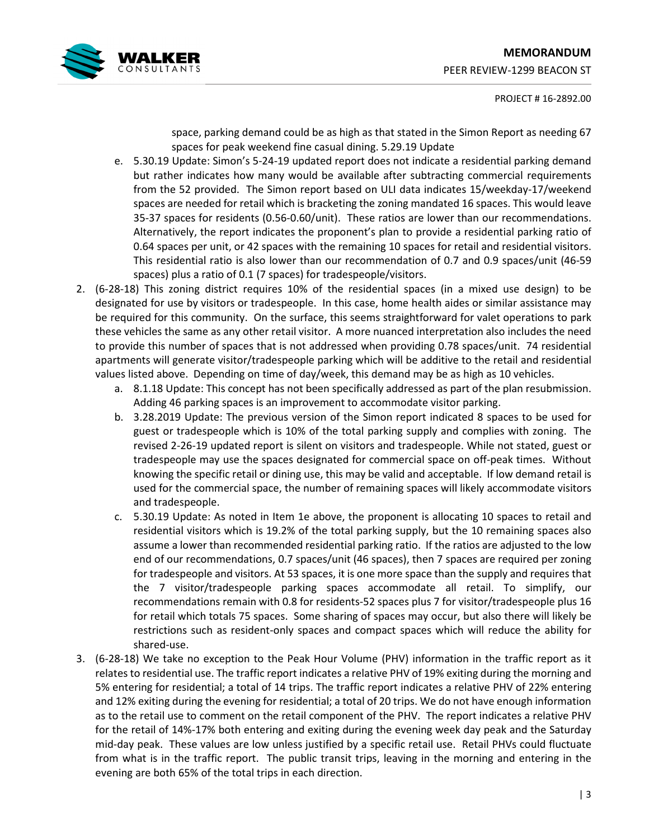# **MEMORANDUM**



PEER REVIEW-1299 BEACON ST

# PROJECT # 16-2892.00

space, parking demand could be as high as that stated in the Simon Report as needing 67 spaces for peak weekend fine casual dining. 5.29.19 Update

- e. 5.30.19 Update: Simon's 5-24-19 updated report does not indicate a residential parking demand but rather indicates how many would be available after subtracting commercial requirements from the 52 provided. The Simon report based on ULI data indicates 15/weekday-17/weekend spaces are needed for retail which is bracketing the zoning mandated 16 spaces. This would leave 35-37 spaces for residents (0.56-0.60/unit). These ratios are lower than our recommendations. Alternatively, the report indicates the proponent's plan to provide a residential parking ratio of 0.64 spaces per unit, or 42 spaces with the remaining 10 spaces for retail and residential visitors. This residential ratio is also lower than our recommendation of 0.7 and 0.9 spaces/unit (46-59 spaces) plus a ratio of 0.1 (7 spaces) for tradespeople/visitors.
- 2. (6-28-18) This zoning district requires 10% of the residential spaces (in a mixed use design) to be designated for use by visitors or tradespeople. In this case, home health aides or similar assistance may be required for this community. On the surface, this seems straightforward for valet operations to park these vehicles the same as any other retail visitor. A more nuanced interpretation also includes the need to provide this number of spaces that is not addressed when providing 0.78 spaces/unit. 74 residential apartments will generate visitor/tradespeople parking which will be additive to the retail and residential values listed above. Depending on time of day/week, this demand may be as high as 10 vehicles.
	- a. 8.1.18 Update: This concept has not been specifically addressed as part of the plan resubmission. Adding 46 parking spaces is an improvement to accommodate visitor parking.
	- b. 3.28.2019 Update: The previous version of the Simon report indicated 8 spaces to be used for guest or tradespeople which is 10% of the total parking supply and complies with zoning. The revised 2-26-19 updated report is silent on visitors and tradespeople. While not stated, guest or tradespeople may use the spaces designated for commercial space on off-peak times. Without knowing the specific retail or dining use, this may be valid and acceptable. If low demand retail is used for the commercial space, the number of remaining spaces will likely accommodate visitors and tradespeople.
	- c. 5.30.19 Update: As noted in Item 1e above, the proponent is allocating 10 spaces to retail and residential visitors which is 19.2% of the total parking supply, but the 10 remaining spaces also assume a lower than recommended residential parking ratio. If the ratios are adjusted to the low end of our recommendations, 0.7 spaces/unit (46 spaces), then 7 spaces are required per zoning for tradespeople and visitors. At 53 spaces, it is one more space than the supply and requires that the 7 visitor/tradespeople parking spaces accommodate all retail. To simplify, our recommendations remain with 0.8 for residents-52 spaces plus 7 for visitor/tradespeople plus 16 for retail which totals 75 spaces. Some sharing of spaces may occur, but also there will likely be restrictions such as resident-only spaces and compact spaces which will reduce the ability for shared-use.
- 3. (6-28-18) We take no exception to the Peak Hour Volume (PHV) information in the traffic report as it relates to residential use. The traffic report indicates a relative PHV of 19% exiting during the morning and 5% entering for residential; a total of 14 trips. The traffic report indicates a relative PHV of 22% entering and 12% exiting during the evening for residential; a total of 20 trips. We do not have enough information as to the retail use to comment on the retail component of the PHV. The report indicates a relative PHV for the retail of 14%-17% both entering and exiting during the evening week day peak and the Saturday mid-day peak. These values are low unless justified by a specific retail use. Retail PHVs could fluctuate from what is in the traffic report. The public transit trips, leaving in the morning and entering in the evening are both 65% of the total trips in each direction.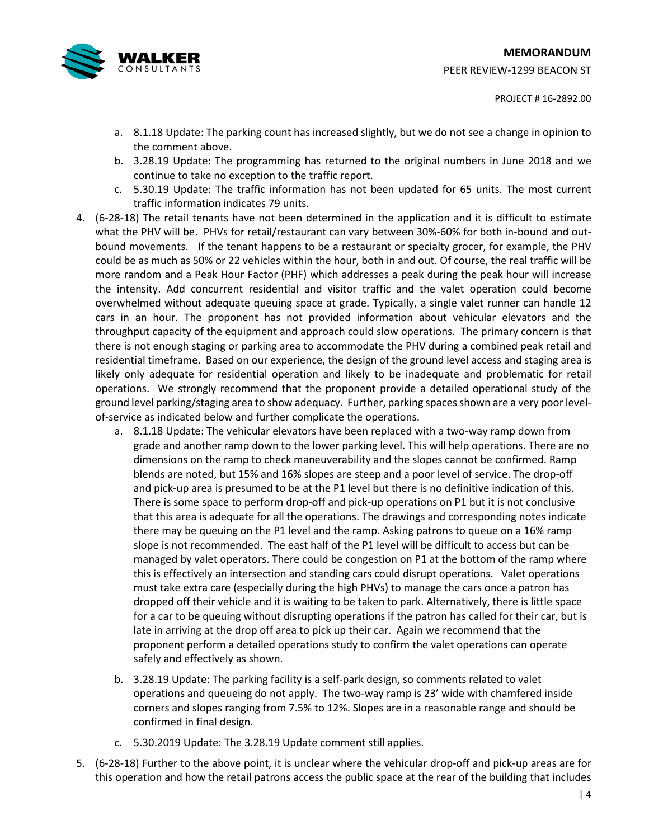

#### PROJECT # 16-2892.00

- a. 8.1.18 Update: The parking count has increased slightly, but we do not see a change in opinion to the comment above.
- b. 3.28.19 Update: The programming has returned to the original numbers in June 2018 and we continue to take no exception to the traffic report.
- c. 5.30.19 Update: The traffic information has not been updated for 65 units. The most current traffic information indicates 79 units.
- 4. (6-28-18) The retail tenants have not been determined in the application and it is difficult to estimate what the PHV will be. PHVs for retail/restaurant can vary between 30%-60% for both in-bound and outbound movements. If the tenant happens to be a restaurant or specialty grocer, for example, the PHV could be as much as 50% or 22 vehicles within the hour, both in and out. Of course, the real traffic will be more random and a Peak Hour Factor (PHF) which addresses a peak during the peak hour will increase the intensity. Add concurrent residential and visitor traffic and the valet operation could become overwhelmed without adequate queuing space at grade. Typically, a single valet runner can handle 12 cars in an hour. The proponent has not provided information about vehicular elevators and the throughput capacity of the equipment and approach could slow operations. The primary concern is that there is not enough staging or parking area to accommodate the PHV during a combined peak retail and residential timeframe. Based on our experience, the design of the ground level access and staging area is likely only adequate for residential operation and likely to be inadequate and problematic for retail operations. We strongly recommend that the proponent provide a detailed operational study of the ground level parking/staging area to show adequacy. Further, parking spaces shown are a very poor levelof-service as indicated below and further complicate the operations.
	- a. 8.1.18 Update: The vehicular elevators have been replaced with a two-way ramp down from grade and another ramp down to the lower parking level. This will help operations. There are no dimensions on the ramp to check maneuverability and the slopes cannot be confirmed. Ramp blends are noted, but 15% and 16% slopes are steep and a poor level of service. The drop-off and pick-up area is presumed to be at the P1 level but there is no definitive indication of this. There is some space to perform drop-off and pick-up operations on P1 but it is not conclusive that this area is adequate for all the operations. The drawings and corresponding notes indicate there may be queuing on the P1 level and the ramp. Asking patrons to queue on a 16% ramp slope is not recommended. The east half of the P1 level will be difficult to access but can be managed by valet operators. There could be congestion on P1 at the bottom of the ramp where this is effectively an intersection and standing cars could disrupt operations. Valet operations must take extra care (especially during the high PHVs) to manage the cars once a patron has dropped off their vehicle and it is waiting to be taken to park. Alternatively, there is little space for a car to be queuing without disrupting operations if the patron has called for their car, but is late in arriving at the drop off area to pick up their car. Again we recommend that the proponent perform a detailed operations study to confirm the valet operations can operate safely and effectively as shown.
	- b. 3.28.19 Update: The parking facility is a self-park design, so comments related to valet operations and queueing do not apply. The two-way ramp is 23' wide with chamfered inside corners and slopes ranging from 7.5% to 12%. Slopes are in a reasonable range and should be confirmed in final design.
	- c. 5.30.2019 Update: The 3.28.19 Update comment still applies.
- 5. (6-28-18) Further to the above point, it is unclear where the vehicular drop-off and pick-up areas are for this operation and how the retail patrons access the public space at the rear of the building that includes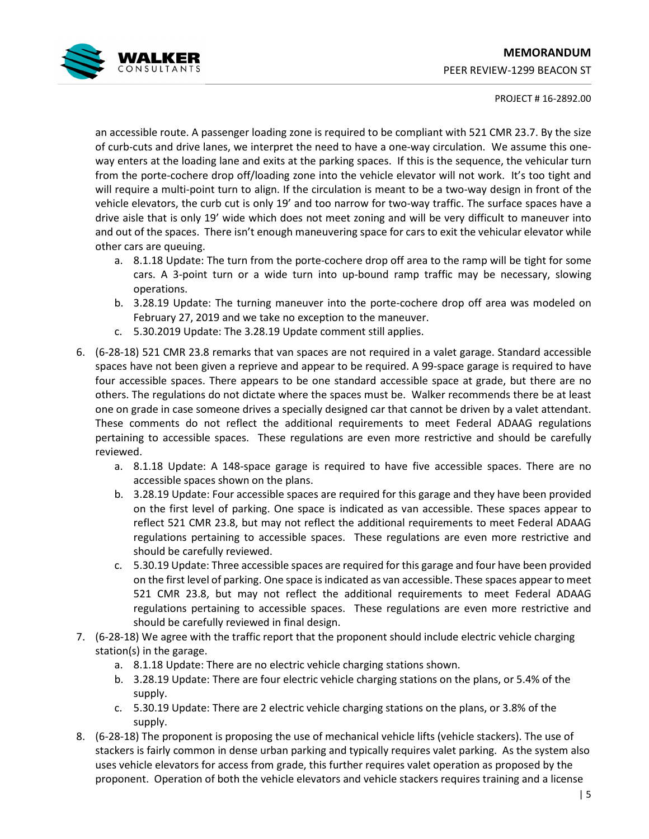# **MEMORANDUM**  PEER REVIEW-1299 BEACON ST



# PROJECT # 16-2892.00

an accessible route. A passenger loading zone is required to be compliant with 521 CMR 23.7. By the size of curb-cuts and drive lanes, we interpret the need to have a one-way circulation. We assume this oneway enters at the loading lane and exits at the parking spaces. If this is the sequence, the vehicular turn from the porte-cochere drop off/loading zone into the vehicle elevator will not work. It's too tight and will require a multi-point turn to align. If the circulation is meant to be a two-way design in front of the vehicle elevators, the curb cut is only 19' and too narrow for two-way traffic. The surface spaces have a drive aisle that is only 19' wide which does not meet zoning and will be very difficult to maneuver into and out of the spaces. There isn't enough maneuvering space for cars to exit the vehicular elevator while other cars are queuing.

- a. 8.1.18 Update: The turn from the porte-cochere drop off area to the ramp will be tight for some cars. A 3-point turn or a wide turn into up-bound ramp traffic may be necessary, slowing operations.
- b. 3.28.19 Update: The turning maneuver into the porte-cochere drop off area was modeled on February 27, 2019 and we take no exception to the maneuver.
- c. 5.30.2019 Update: The 3.28.19 Update comment still applies.
- 6. (6-28-18) 521 CMR 23.8 remarks that van spaces are not required in a valet garage. Standard accessible spaces have not been given a reprieve and appear to be required. A 99-space garage is required to have four accessible spaces. There appears to be one standard accessible space at grade, but there are no others. The regulations do not dictate where the spaces must be. Walker recommends there be at least one on grade in case someone drives a specially designed car that cannot be driven by a valet attendant. These comments do not reflect the additional requirements to meet Federal ADAAG regulations pertaining to accessible spaces. These regulations are even more restrictive and should be carefully reviewed.
	- a. 8.1.18 Update: A 148-space garage is required to have five accessible spaces. There are no accessible spaces shown on the plans.
	- b. 3.28.19 Update: Four accessible spaces are required for this garage and they have been provided on the first level of parking. One space is indicated as van accessible. These spaces appear to reflect 521 CMR 23.8, but may not reflect the additional requirements to meet Federal ADAAG regulations pertaining to accessible spaces. These regulations are even more restrictive and should be carefully reviewed.
	- c. 5.30.19 Update: Three accessible spaces are required for this garage and four have been provided on the first level of parking. One space is indicated as van accessible. These spaces appear to meet 521 CMR 23.8, but may not reflect the additional requirements to meet Federal ADAAG regulations pertaining to accessible spaces. These regulations are even more restrictive and should be carefully reviewed in final design.
- 7. (6-28-18) We agree with the traffic report that the proponent should include electric vehicle charging station(s) in the garage.
	- a. 8.1.18 Update: There are no electric vehicle charging stations shown.
	- b. 3.28.19 Update: There are four electric vehicle charging stations on the plans, or 5.4% of the supply.
	- c. 5.30.19 Update: There are 2 electric vehicle charging stations on the plans, or 3.8% of the supply.
- 8. (6-28-18) The proponent is proposing the use of mechanical vehicle lifts (vehicle stackers). The use of stackers is fairly common in dense urban parking and typically requires valet parking. As the system also uses vehicle elevators for access from grade, this further requires valet operation as proposed by the proponent. Operation of both the vehicle elevators and vehicle stackers requires training and a license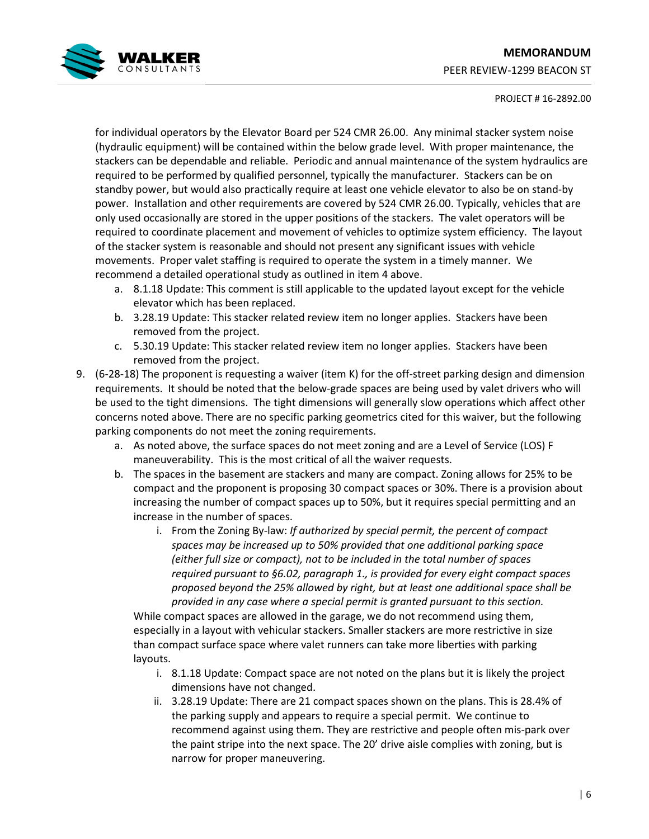# **MEMORANDUM**  PEER REVIEW-1299 BEACON ST



# PROJECT # 16-2892.00

for individual operators by the Elevator Board per 524 CMR 26.00. Any minimal stacker system noise (hydraulic equipment) will be contained within the below grade level. With proper maintenance, the stackers can be dependable and reliable. Periodic and annual maintenance of the system hydraulics are required to be performed by qualified personnel, typically the manufacturer. Stackers can be on standby power, but would also practically require at least one vehicle elevator to also be on stand-by power. Installation and other requirements are covered by 524 CMR 26.00. Typically, vehicles that are only used occasionally are stored in the upper positions of the stackers. The valet operators will be required to coordinate placement and movement of vehicles to optimize system efficiency. The layout of the stacker system is reasonable and should not present any significant issues with vehicle movements. Proper valet staffing is required to operate the system in a timely manner. We recommend a detailed operational study as outlined in item 4 above.

- a. 8.1.18 Update: This comment is still applicable to the updated layout except for the vehicle elevator which has been replaced.
- b. 3.28.19 Update: This stacker related review item no longer applies. Stackers have been removed from the project.
- c. 5.30.19 Update: This stacker related review item no longer applies. Stackers have been removed from the project.
- 9. (6-28-18) The proponent is requesting a waiver (item K) for the off-street parking design and dimension requirements. It should be noted that the below-grade spaces are being used by valet drivers who will be used to the tight dimensions. The tight dimensions will generally slow operations which affect other concerns noted above. There are no specific parking geometrics cited for this waiver, but the following parking components do not meet the zoning requirements.
	- a. As noted above, the surface spaces do not meet zoning and are a Level of Service (LOS) F maneuverability. This is the most critical of all the waiver requests.
	- b. The spaces in the basement are stackers and many are compact. Zoning allows for 25% to be compact and the proponent is proposing 30 compact spaces or 30%. There is a provision about increasing the number of compact spaces up to 50%, but it requires special permitting and an increase in the number of spaces.
		- i. From the Zoning By-law: *If authorized by special permit, the percent of compact spaces may be increased up to 50% provided that one additional parking space (either full size or compact), not to be included in the total number of spaces required pursuant to §6.02, paragraph 1., is provided for every eight compact spaces proposed beyond the 25% allowed by right, but at least one additional space shall be provided in any case where a special permit is granted pursuant to this section.*

While compact spaces are allowed in the garage, we do not recommend using them, especially in a layout with vehicular stackers. Smaller stackers are more restrictive in size than compact surface space where valet runners can take more liberties with parking layouts.

- i. 8.1.18 Update: Compact space are not noted on the plans but it is likely the project dimensions have not changed.
- ii. 3.28.19 Update: There are 21 compact spaces shown on the plans. This is 28.4% of the parking supply and appears to require a special permit. We continue to recommend against using them. They are restrictive and people often mis-park over the paint stripe into the next space. The 20' drive aisle complies with zoning, but is narrow for proper maneuvering.